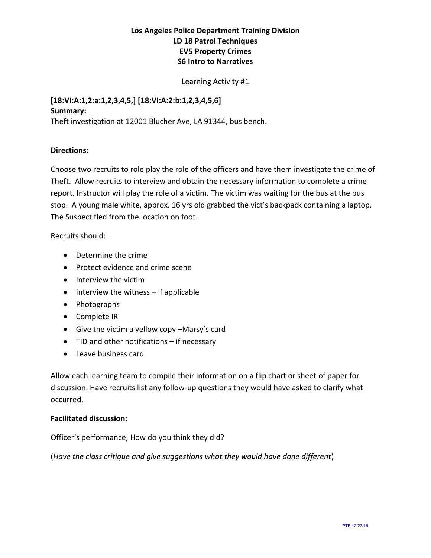# **Los Angeles Police Department Training Division LD 18 Patrol Techniques EV5 Property Crimes S6 Intro to Narratives**

Learning Activity #1

#### **[18:VI:A:1,2:a:1,2,3,4,5,] [18:VI:A:2:b:1,2,3,4,5,6] Summary:**

Theft investigation at 12001 Blucher Ave, LA 91344, bus bench.

### **Directions:**

Choose two recruits to role play the role of the officers and have them investigate the crime of Theft. Allow recruits to interview and obtain the necessary information to complete a crime report. Instructor will play the role of a victim. The victim was waiting for the bus at the bus stop. A young male white, approx. 16 yrs old grabbed the vict's backpack containing a laptop. The Suspect fled from the location on foot.

Recruits should:

- Determine the crime
- Protect evidence and crime scene
- Interview the victim
- Interview the witness if applicable
- Photographs
- Complete IR
- Give the victim a yellow copy –Marsy's card
- TID and other notifications if necessary
- Leave business card

Allow each learning team to compile their information on a flip chart or sheet of paper for discussion. Have recruits list any follow-up questions they would have asked to clarify what occurred.

### **Facilitated discussion:**

Officer's performance; How do you think they did?

(*Have the class critique and give suggestions what they would have done different*)